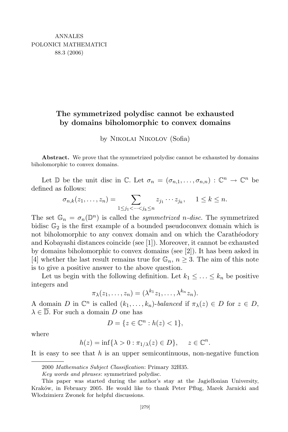## The symmetrized polydisc cannot be exhausted by domains biholomorphic to convex domains

by Nikolai Nikolov (Sofia)

Abstract. We prove that the symmetrized polydisc cannot be exhausted by domains biholomorphic to convex domains.

Let  $\mathbb{D}$  be the unit disc in  $\mathbb{C}$ . Let  $\sigma_n = (\sigma_{n,1}, \ldots, \sigma_{n,n}) : \mathbb{C}^n \to \mathbb{C}^n$  be defined as follows:

$$
\sigma_{n,k}(z_1,\ldots,z_n)=\sum_{1\leq j_1<\cdots
$$

The set  $\mathbb{G}_n = \sigma_n(\mathbb{D}^n)$  is called the *symmetrized n-disc*. The symmetrized bidisc  $\mathbb{G}_2$  is the first example of a bounded pseudoconvex domain which is not biholomorphic to any convex domain and on which the Caratheodory and Kobayashi distances coincide (see [1]). Moreover, it cannot be exhausted by domains biholomorphic to convex domains (see [2]). It has been asked in [4] whether the last result remains true for  $\mathbb{G}_n$ ,  $n \geq 3$ . The aim of this note is to give a positive answer to the above question.

Let us begin with the following definition. Let  $k_1 \leq \ldots \leq k_n$  be positive integers and

$$
\pi_{\lambda}(z_1,\ldots,z_n)=(\lambda^{k_1}z_1,\ldots,\lambda^{k_n}z_n).
$$

A domain D in  $\mathbb{C}^n$  is called  $(k_1, \ldots, k_n)$ -balanced if  $\pi_{\lambda}(z) \in D$  for  $z \in D$ ,  $\lambda \in \overline{\mathbb{D}}$ . For such a domain D one has

$$
D = \{ z \in \mathbb{C}^n : h(z) < 1 \},\
$$

where

$$
h(z) = \inf\{\lambda > 0 : \pi_{1/\lambda}(z) \in D\}, \quad z \in \mathbb{C}^n.
$$

It is easy to see that  $h$  is an upper semicontinuous, non-negative function

<sup>2000</sup> Mathematics Subject Classification: Primary 32H35.

Key words and phrases: symmetrized polydisc.

This paper was started during the author's stay at the Jagiellonian University, Kraków, in February 2005. He would like to thank Peter Pflug, Marek Jarnicki and Włodzimierz Zwonek for helpful discussions.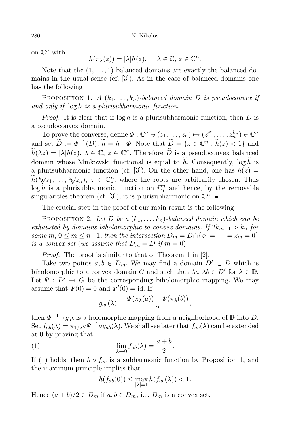on  $\mathbb{C}^n$  with

$$
h(\pi_{\lambda}(z)) = |\lambda| h(z), \quad \lambda \in \mathbb{C}, \, z \in \mathbb{C}^n.
$$

Note that the  $(1, \ldots, 1)$ -balanced domains are exactly the balanced domains in the usual sense (cf. [3]). As in the case of balanced domains one has the following

**PROPOSITION 1.** A  $(k_1, \ldots, k_n)$ -balanced domain D is pseudoconvex if and only if log h is a plurisubharmonic function.

*Proof.* It is clear that if  $\log h$  is a plurisubharmonic function, then D is a pseudoconvex domain.

To prove the converse, define  $\Phi : \mathbb{C}^n \ni (z_1, \ldots, z_n) \mapsto (z_1^{k_1}, \ldots, z_n^{k_n}) \in \mathbb{C}^n$ and set  $\widetilde{D} := \Phi^{-1}(D)$ ,  $\widetilde{h} = h \circ \Phi$ . Note that  $\widetilde{D} = \{z \in \mathbb{C}^n : \widetilde{h}(z) < 1\}$  and  $\widetilde{h}(\lambda z) = |\lambda|h(z), \lambda \in \mathbb{C}, z \in \mathbb{C}^n$ . Therefore  $\widetilde{D}$  is a pseudoconvex balanced domain whose Minkowski functional is equal to  $\tilde{h}$ . Consequently,  $\log \tilde{h}$  is a plurisubharmonic function (cf. [3]). On the other hand, one has  $h(z)$  =  $\widetilde{h}(\sqrt[k]{z_1}, \ldots, \sqrt[k]{z_n}), z \in \mathbb{C}_{*}^n$ , where the roots are arbitrarily chosen. Thus  $\log h$  is a plurisubharmonic function on  $\mathbb{C}_{*}^{n}$  and hence, by the removable singularities theorem (cf. [3]), it is plurisubharmonic on  $\mathbb{C}^n$ .

The crucial step in the proof of our main result is the following

**PROPOSITION 2.** Let D be a  $(k_1, \ldots, k_n)$ -balanced domain which can be exhausted by domains biholomorphic to convex domains. If  $2k_{m+1} > k_n$  for some m,  $0 \le m \le n-1$ , then the intersection  $D_m = D \cap \{z_1 = \cdots = z_m = 0\}$ is a convex set (we assume that  $D_m = D$  if  $m = 0$ ).

Proof. The proof is similar to that of Theorem 1 in [2].

Take two points  $a, b \in D_m$ . We may find a domain  $D' \subset D$  which is biholomorphic to a convex domain G and such that  $\lambda a, \lambda b \in D'$  for  $\lambda \in \overline{\mathbb{D}}$ . Let  $\Psi : D' \to G$  be the corresponding biholomorphic mapping. We may assume that  $\Psi(0) = 0$  and  $\Psi'(0) = id$ . If

$$
g_{ab}(\lambda) = \frac{\Psi(\pi_{\lambda}(a)) + \Psi(\pi_{\lambda}(b))}{2},
$$

then  $\Psi^{-1} \circ g_{ab}$  is a holomorphic mapping from a neighborhood of  $\overline{\mathbb{D}}$  into D. Set  $f_{ab}(\lambda) = \pi_{1/\lambda} \circ \Psi^{-1} \circ g_{ab}(\lambda)$ . We shall see later that  $f_{ab}(\lambda)$  can be extended at 0 by proving that

(1) 
$$
\lim_{\lambda \to 0} f_{ab}(\lambda) = \frac{a+b}{2}.
$$

If (1) holds, then  $h \circ f_{ab}$  is a subharmonic function by Proposition 1, and the maximum principle implies that

$$
h(f_{ab}(0)) \le \max_{|\lambda|=1} h(f_{ab}(\lambda)) < 1.
$$

Hence  $(a + b)/2 \in D_m$  if  $a, b \in D_m$ , i.e.  $D_m$  is a convex set.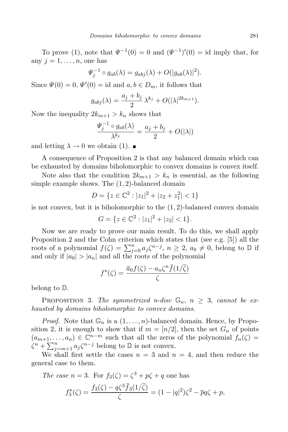To prove (1), note that  $\Psi^{-1}(0) = 0$  and  $(\Psi^{-1})'(0) = id$  imply that, for any  $j = 1, \ldots, n$ , one has

$$
\Psi_j^{-1} \circ g_{ab}(\lambda) = g_{abj}(\lambda) + O(|g_{ab}(\lambda)|^2).
$$

Since  $\Psi(0) = 0$ ,  $\Psi'(0) = id$  and  $a, b \in D_m$ , it follows that

$$
g_{abj}(\lambda) = \frac{a_j + b_j}{2} \lambda^{k_j} + O(|\lambda|^{2k_{m+1}}).
$$

Now the inequality  $2k_{m+1} > k_n$  shows that

$$
\frac{\Psi_j^{-1} \circ g_{ab}(\lambda)}{\lambda^{k_j}} = \frac{a_j + b_j}{2} + O(|\lambda|)
$$

and letting  $\lambda \to 0$  we obtain (1).

A consequence of Proposition 2 is that any balanced domain which can be exhausted by domains biholomorphic to convex domains is convex itself.

Note also that the condition  $2k_{m+1} > k_n$  is essential, as the following simple example shows. The  $(1, 2)$ -balanced domain

$$
D = \{ z \in \mathbb{C}^2 : |z_1|^2 + |z_2 + z_1^2| < 1 \}
$$

is not convex, but it is biholomorphic to the  $(1, 2)$ -balanced convex domain

$$
G = \{ z \in \mathbb{C}^2 : |z_1|^2 + |z_2| < 1 \}.
$$

Now we are ready to prove our main result. To do this, we shall apply Proposition 2 and the Cohn criterion which states that (see e.g. [5]) all the roots of a polynomial  $f(\zeta) = \sum_{j=0}^n a_j \zeta^{n-j}$ ,  $n \ge 2$ ,  $a_0 \ne 0$ , belong to  $\mathbb D$  if and only if  $|a_0| > |a_n|$  and all the roots of the polynomial

$$
f^{\star}(\zeta) = \frac{\overline{a}_0 f(\zeta) - a_n \zeta^n \overline{f}(1/\overline{\zeta})}{\zeta}
$$

belong to D.

**PROPOSITION** 3. The symmetrized n-disc  $\mathbb{G}_n$ ,  $n \geq 3$ , cannot be exhausted by domains biholomorphic to convex domains.

*Proof.* Note that  $\mathbb{G}_n$  is a  $(1,\ldots,n)$ -balanced domain. Hence, by Proposition 2, it is enough to show that if  $m = [n/2]$ , then the set  $G_n$  of points  $(a_{m+1},..., a_n) \in \mathbb{C}^{n-m}$  such that all the zeros of the polynomial  $f_n(\zeta) =$  $\zeta^{n} + \sum_{j=m+1}^{n} a_{j} \zeta^{n-j}$  belong to  $\mathbb{D}$  is not convex.

We shall first settle the cases  $n = 3$  and  $n = 4$ , and then reduce the general case to them.

The case 
$$
n = 3
$$
. For  $f_3(\zeta) = \zeta^3 + p\zeta + q$  one has  

$$
f_3^*(\zeta) = \frac{f_3(\zeta) - q\zeta^3 \bar{f}_3(1/\bar{\zeta})}{\zeta} = (1 - |q|^2)\zeta^2 - \bar{p}q\zeta + p,
$$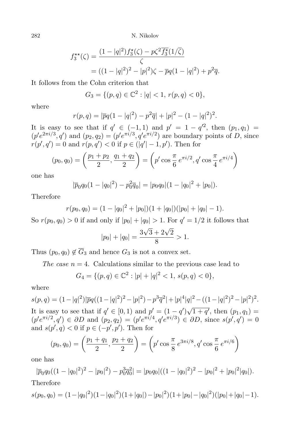282 N. Nikolov

$$
f_3^{\star\star}(\zeta) = \frac{(1 - |q|^2) f_3^{\star}(\zeta) - p\zeta^2 \overline{f_3^{\star}} (1/\overline{\zeta})}{\zeta}
$$
  
= 
$$
((1 - |q|^2)^2 - |p|^2) \zeta - \overline{p}q(1 - |q|^2) + p^2 \overline{q}.
$$

It follows from the Cohn criterion that

$$
G_3 = \{ (p,q) \in \mathbb{C}^2 : |q| < 1, \, r(p,q) < 0 \},
$$

where

$$
r(p,q) = |\overline{p}q(1-|q|^2) - p^2 \overline{q}| + |p|^2 - (1-|q|^2)^2.
$$

It is easy to see that if  $q' \in (-1,1)$  and  $p' = 1 - q'^2$ , then  $(p_1, q_1) = (q'^2, q'^2, q'^2)$  $(p'e^{2\pi i/3}, q')$  and  $(p_2, q_2) = (p'e^{\pi i/3}, q'e^{\pi i/2})$  are boundary points of D, since  $r(p', q') = 0$  and  $r(p, q') < 0$  if  $p \in (|q'| - 1, p')$ . Then for

$$
(p_0, q_0) = \left(\frac{p_1 + p_2}{2}, \frac{q_1 + q_2}{2}\right) = \left(p' \cos\frac{\pi}{6} e^{\pi i/2}, q' \cos\frac{\pi}{4} e^{\pi i/4}\right)
$$

one has

$$
|\overline{p}_0 q_0 (1 - |q_0|^2) - p_0^2 \overline{q}_0| = |p_0 q_0| (1 - |q_0|^2 + |p_0|).
$$

Therefore

$$
r(p_0, q_0) = (1 - |q_0|^2 + |p_0|)(1 + |q_0|)(|p_0| + |q_0| - 1).
$$

So  $r(p_0, q_0) > 0$  if and only if  $|p_0| + |q_0| > 1$ . For  $q' = 1/2$  it follows that

$$
|p_0| + |q_0| = \frac{3\sqrt{3} + 2\sqrt{2}}{8} > 1.
$$

Thus  $(p_0, q_0) \notin \overline{G}_3$  and hence  $G_3$  is not a convex set.

The case  $n = 4$ . Calculations similar to the previous case lead to

$$
G_4 = \{ (p,q) \in \mathbb{C}^2 : |p| + |q|^2 < 1, \, s(p,q) < 0 \},
$$

where

 $s(p,q) = (1 - |q|^2)|\overline{p}q((1 - |q|^2)^2 - |p|^2) - p^3\overline{q}^2| + |p|^4|q|^2 - ((1 - |q|^2)^2 - |p|^2)^2.$ It is easy to see that if  $q' \in [0, 1)$  and  $p' = (1 - q')\sqrt{1 + q'}$ , then  $(p_1, q_1) =$  $(p'e^{\pi i/2}, q') \in \partial D$  and  $(p_2, q_2) = (p'e^{\pi i/4}, q'e^{\pi i/3}) \in \partial D$ , since  $s(p', q') = 0$ and  $s(p', q) < 0$  if  $p \in (-p', p')$ . Then for

$$
(p_0, q_0) = \left(\frac{p_1 + q_1}{2}, \frac{p_2 + q_2}{2}\right) = \left(p' \cos{\frac{\pi}{8}} e^{3\pi i/8}, q' \cos{\frac{\pi}{6}} e^{\pi i/6}\right)
$$

one has

 $|\overline{p}_0 q_0((1-|q_0|^2)^2-|p_0|^2)-p_0^3\overline{q}_0^2|=|p_0q_0|((1-|q_0|^2)^2-|p_0|^2+|p_0|^2|q_0|).$ Therefore

$$
s(p_0, q_0) = (1 - |q_0|^2)(1 - |q_0|^2)(1 + |q_0|) - |p_0|^2)(1 + |p_0| - |q_0|^2)(|p_0| + |q_0| - 1).
$$